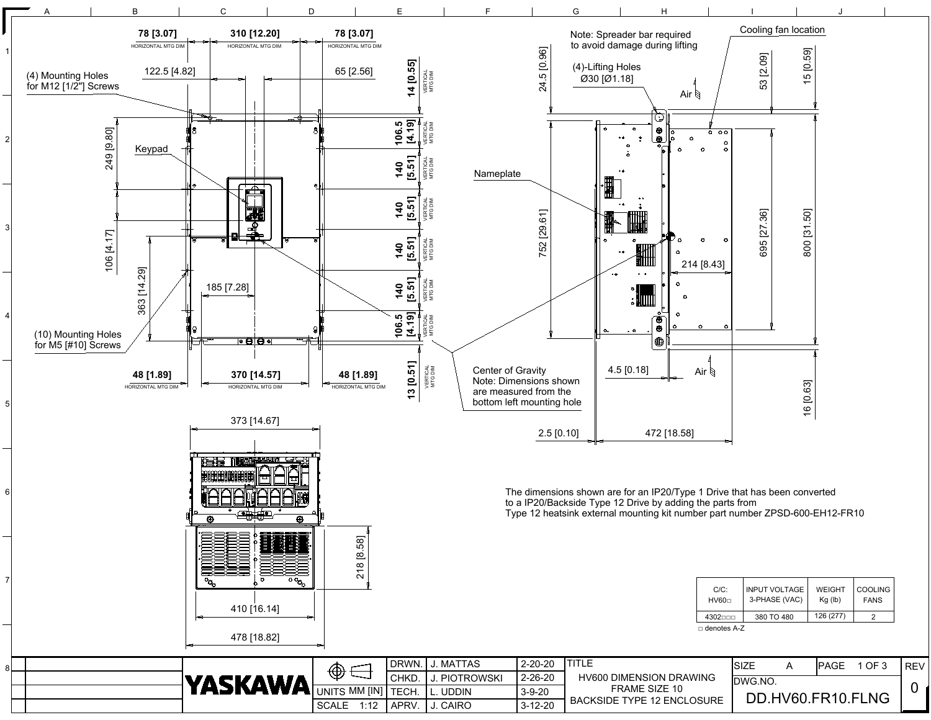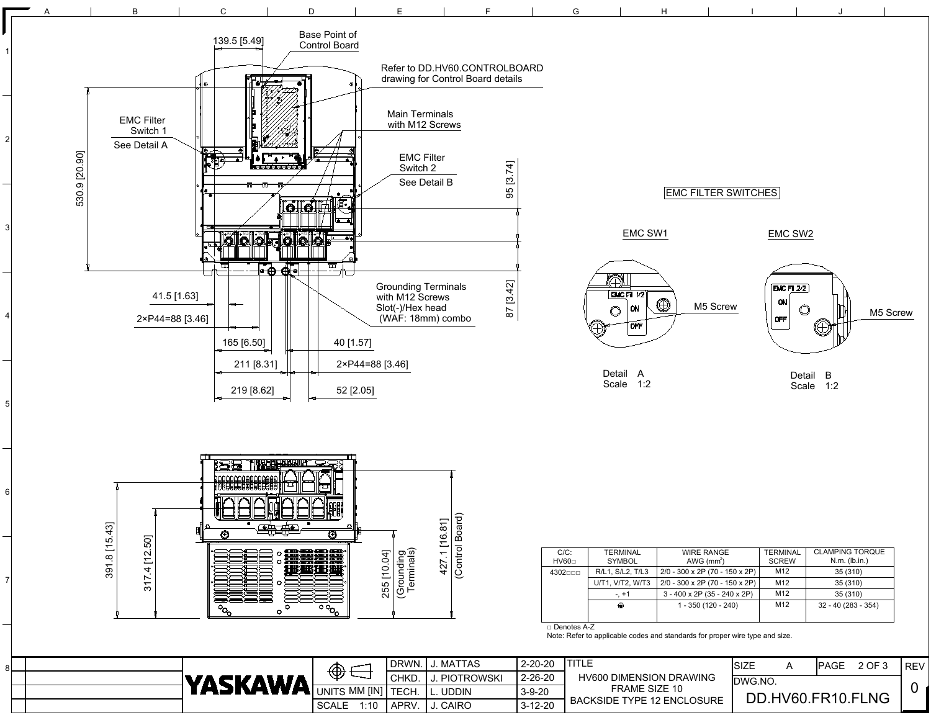